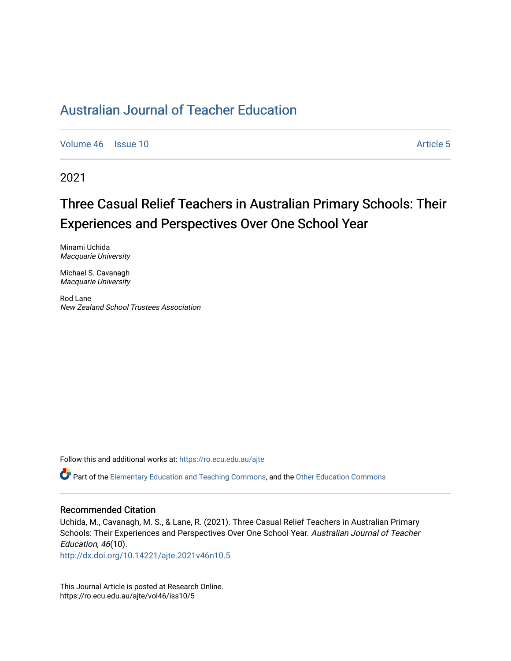# [Australian Journal of Teacher Education](https://ro.ecu.edu.au/ajte)

[Volume 46](https://ro.ecu.edu.au/ajte/vol46) | [Issue 10](https://ro.ecu.edu.au/ajte/vol46/iss10) Article 5

2021

# Three Casual Relief Teachers in Australian Primary Schools: Their Experiences and Perspectives Over One School Year

Minami Uchida Macquarie University

Michael S. Cavanagh Macquarie University

Rod Lane New Zealand School Trustees Association

Follow this and additional works at: [https://ro.ecu.edu.au/ajte](https://ro.ecu.edu.au/ajte?utm_source=ro.ecu.edu.au%2Fajte%2Fvol46%2Fiss10%2F5&utm_medium=PDF&utm_campaign=PDFCoverPages) 

Part of the [Elementary Education and Teaching Commons,](http://network.bepress.com/hgg/discipline/805?utm_source=ro.ecu.edu.au%2Fajte%2Fvol46%2Fiss10%2F5&utm_medium=PDF&utm_campaign=PDFCoverPages) and the [Other Education Commons](http://network.bepress.com/hgg/discipline/811?utm_source=ro.ecu.edu.au%2Fajte%2Fvol46%2Fiss10%2F5&utm_medium=PDF&utm_campaign=PDFCoverPages) 

#### Recommended Citation

Uchida, M., Cavanagh, M. S., & Lane, R. (2021). Three Casual Relief Teachers in Australian Primary Schools: Their Experiences and Perspectives Over One School Year. Australian Journal of Teacher Education, 46(10).

<http://dx.doi.org/10.14221/ajte.2021v46n10.5>

This Journal Article is posted at Research Online. https://ro.ecu.edu.au/ajte/vol46/iss10/5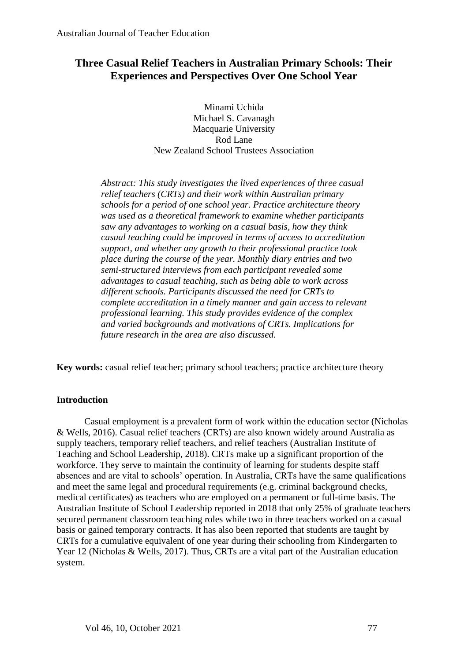# **Three Casual Relief Teachers in Australian Primary Schools: Their Experiences and Perspectives Over One School Year**

Minami Uchida Michael S. Cavanagh Macquarie University Rod Lane New Zealand School Trustees Association

*Abstract: This study investigates the lived experiences of three casual relief teachers (CRTs) and their work within Australian primary schools for a period of one school year. Practice architecture theory was used as a theoretical framework to examine whether participants saw any advantages to working on a casual basis, how they think casual teaching could be improved in terms of access to accreditation support, and whether any growth to their professional practice took place during the course of the year. Monthly diary entries and two semi-structured interviews from each participant revealed some advantages to casual teaching, such as being able to work across different schools. Participants discussed the need for CRTs to complete accreditation in a timely manner and gain access to relevant professional learning. This study provides evidence of the complex and varied backgrounds and motivations of CRTs. Implications for future research in the area are also discussed.* 

**Key words:** casual relief teacher; primary school teachers; practice architecture theory

## **Introduction**

Casual employment is a prevalent form of work within the education sector (Nicholas & Wells, 2016). Casual relief teachers (CRTs) are also known widely around Australia as supply teachers, temporary relief teachers, and relief teachers (Australian Institute of Teaching and School Leadership, 2018). CRTs make up a significant proportion of the workforce. They serve to maintain the continuity of learning for students despite staff absences and are vital to schools' operation. In Australia, CRTs have the same qualifications and meet the same legal and procedural requirements (e.g. criminal background checks, medical certificates) as teachers who are employed on a permanent or full-time basis. The Australian Institute of School Leadership reported in 2018 that only 25% of graduate teachers secured permanent classroom teaching roles while two in three teachers worked on a casual basis or gained temporary contracts. It has also been reported that students are taught by CRTs for a cumulative equivalent of one year during their schooling from Kindergarten to Year 12 (Nicholas & Wells, 2017). Thus, CRTs are a vital part of the Australian education system.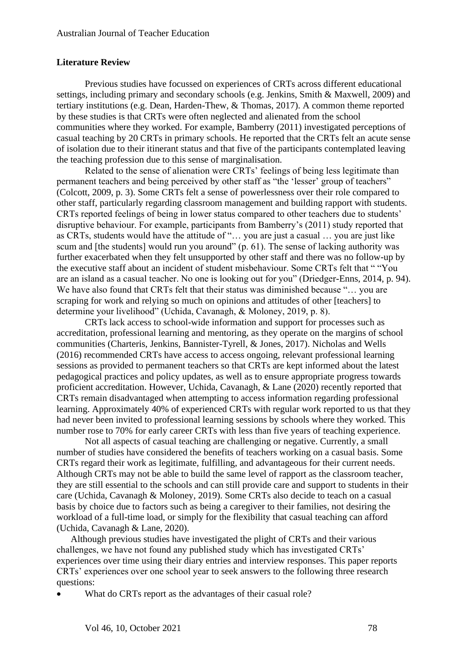## **Literature Review**

Previous studies have focussed on experiences of CRTs across different educational settings, including primary and secondary schools (e.g. Jenkins, Smith & Maxwell, 2009) and tertiary institutions (e.g. Dean, Harden-Thew, & Thomas, 2017). A common theme reported by these studies is that CRTs were often neglected and alienated from the school communities where they worked. For example, Bamberry (2011) investigated perceptions of casual teaching by 20 CRTs in primary schools. He reported that the CRTs felt an acute sense of isolation due to their itinerant status and that five of the participants contemplated leaving the teaching profession due to this sense of marginalisation.

Related to the sense of alienation were CRTs' feelings of being less legitimate than permanent teachers and being perceived by other staff as "the 'lesser' group of teachers" (Colcott, 2009, p. 3). Some CRTs felt a sense of powerlessness over their role compared to other staff, particularly regarding classroom management and building rapport with students. CRTs reported feelings of being in lower status compared to other teachers due to students' disruptive behaviour. For example, participants from Bamberry's (2011) study reported that as CRTs, students would have the attitude of "… you are just a casual … you are just like scum and [the students] would run you around" (p. 61). The sense of lacking authority was further exacerbated when they felt unsupported by other staff and there was no follow-up by the executive staff about an incident of student misbehaviour. Some CRTs felt that " "You are an island as a casual teacher. No one is looking out for you" (Driedger-Enns, 2014, p. 94). We have also found that CRTs felt that their status was diminished because "... you are scraping for work and relying so much on opinions and attitudes of other [teachers] to determine your livelihood" (Uchida, Cavanagh, & Moloney, 2019, p. 8).

CRTs lack access to school-wide information and support for processes such as accreditation, professional learning and mentoring, as they operate on the margins of school communities (Charteris, Jenkins, Bannister-Tyrell, & Jones, 2017). Nicholas and Wells (2016) recommended CRTs have access to access ongoing, relevant professional learning sessions as provided to permanent teachers so that CRTs are kept informed about the latest pedagogical practices and policy updates, as well as to ensure appropriate progress towards proficient accreditation. However, Uchida, Cavanagh, & Lane (2020) recently reported that CRTs remain disadvantaged when attempting to access information regarding professional learning. Approximately 40% of experienced CRTs with regular work reported to us that they had never been invited to professional learning sessions by schools where they worked. This number rose to 70% for early career CRTs with less than five years of teaching experience.

Not all aspects of casual teaching are challenging or negative. Currently, a small number of studies have considered the benefits of teachers working on a casual basis. Some CRTs regard their work as legitimate, fulfilling, and advantageous for their current needs. Although CRTs may not be able to build the same level of rapport as the classroom teacher, they are still essential to the schools and can still provide care and support to students in their care (Uchida, Cavanagh & Moloney, 2019). Some CRTs also decide to teach on a casual basis by choice due to factors such as being a caregiver to their families, not desiring the workload of a full-time load, or simply for the flexibility that casual teaching can afford (Uchida, Cavanagh & Lane, 2020).

Although previous studies have investigated the plight of CRTs and their various challenges, we have not found any published study which has investigated CRTs' experiences over time using their diary entries and interview responses. This paper reports CRTs' experiences over one school year to seek answers to the following three research questions:

What do CRTs report as the advantages of their casual role?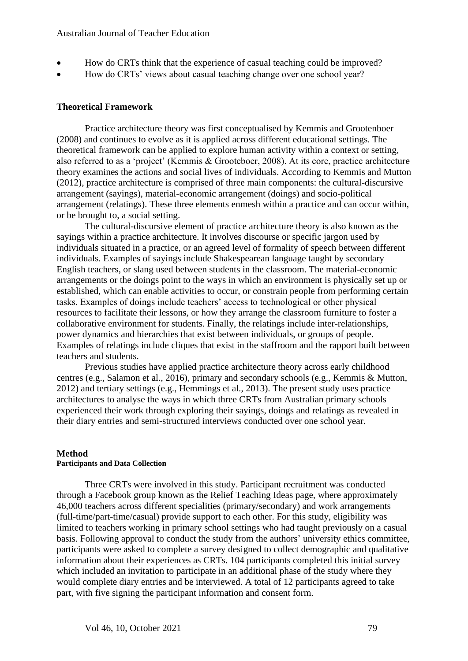## Australian Journal of Teacher Education

- How do CRTs think that the experience of casual teaching could be improved?
- How do CRTs' views about casual teaching change over one school year?

## **Theoretical Framework**

Practice architecture theory was first conceptualised by Kemmis and Grootenboer (2008) and continues to evolve as it is applied across different educational settings. The theoretical framework can be applied to explore human activity within a context or setting, also referred to as a 'project' (Kemmis & Grooteboer, 2008). At its core, practice architecture theory examines the actions and social lives of individuals. According to Kemmis and Mutton (2012), practice architecture is comprised of three main components: the cultural-discursive arrangement (sayings), material-economic arrangement (doings) and socio-political arrangement (relatings). These three elements enmesh within a practice and can occur within, or be brought to, a social setting.

The cultural-discursive element of practice architecture theory is also known as the sayings within a practice architecture. It involves discourse or specific jargon used by individuals situated in a practice, or an agreed level of formality of speech between different individuals. Examples of sayings include Shakespearean language taught by secondary English teachers, or slang used between students in the classroom. The material-economic arrangements or the doings point to the ways in which an environment is physically set up or established, which can enable activities to occur, or constrain people from performing certain tasks. Examples of doings include teachers' access to technological or other physical resources to facilitate their lessons, or how they arrange the classroom furniture to foster a collaborative environment for students. Finally, the relatings include inter-relationships, power dynamics and hierarchies that exist between individuals, or groups of people. Examples of relatings include cliques that exist in the staffroom and the rapport built between teachers and students.

Previous studies have applied practice architecture theory across early childhood centres (e.g., Salamon et al., 2016), primary and secondary schools (e.g., Kemmis & Mutton, 2012) and tertiary settings (e.g., Hemmings et al., 2013). The present study uses practice architectures to analyse the ways in which three CRTs from Australian primary schools experienced their work through exploring their sayings, doings and relatings as revealed in their diary entries and semi-structured interviews conducted over one school year.

## **Method**

## **Participants and Data Collection**

Three CRTs were involved in this study. Participant recruitment was conducted through a Facebook group known as the Relief Teaching Ideas page, where approximately 46,000 teachers across different specialities (primary/secondary) and work arrangements (full-time/part-time/casual) provide support to each other. For this study, eligibility was limited to teachers working in primary school settings who had taught previously on a casual basis. Following approval to conduct the study from the authors' university ethics committee, participants were asked to complete a survey designed to collect demographic and qualitative information about their experiences as CRTs. 104 participants completed this initial survey which included an invitation to participate in an additional phase of the study where they would complete diary entries and be interviewed. A total of 12 participants agreed to take part, with five signing the participant information and consent form.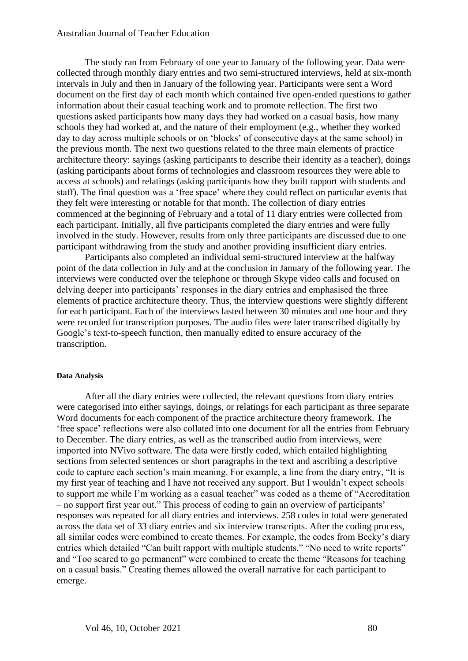## Australian Journal of Teacher Education

The study ran from February of one year to January of the following year. Data were collected through monthly diary entries and two semi-structured interviews, held at six-month intervals in July and then in January of the following year. Participants were sent a Word document on the first day of each month which contained five open-ended questions to gather information about their casual teaching work and to promote reflection. The first two questions asked participants how many days they had worked on a casual basis, how many schools they had worked at, and the nature of their employment (e.g., whether they worked day to day across multiple schools or on 'blocks' of consecutive days at the same school) in the previous month. The next two questions related to the three main elements of practice architecture theory: sayings (asking participants to describe their identity as a teacher), doings (asking participants about forms of technologies and classroom resources they were able to access at schools) and relatings (asking participants how they built rapport with students and staff). The final question was a 'free space' where they could reflect on particular events that they felt were interesting or notable for that month. The collection of diary entries commenced at the beginning of February and a total of 11 diary entries were collected from each participant. Initially, all five participants completed the diary entries and were fully involved in the study. However, results from only three participants are discussed due to one participant withdrawing from the study and another providing insufficient diary entries.

Participants also completed an individual semi-structured interview at the halfway point of the data collection in July and at the conclusion in January of the following year. The interviews were conducted over the telephone or through Skype video calls and focused on delving deeper into participants' responses in the diary entries and emphasised the three elements of practice architecture theory. Thus, the interview questions were slightly different for each participant. Each of the interviews lasted between 30 minutes and one hour and they were recorded for transcription purposes. The audio files were later transcribed digitally by Google's text-to-speech function, then manually edited to ensure accuracy of the transcription.

## **Data Analysis**

After all the diary entries were collected, the relevant questions from diary entries were categorised into either sayings, doings, or relatings for each participant as three separate Word documents for each component of the practice architecture theory framework. The 'free space' reflections were also collated into one document for all the entries from February to December. The diary entries, as well as the transcribed audio from interviews, were imported into NVivo software. The data were firstly coded, which entailed highlighting sections from selected sentences or short paragraphs in the text and ascribing a descriptive code to capture each section's main meaning. For example, a line from the diary entry, "It is my first year of teaching and I have not received any support. But I wouldn't expect schools to support me while I'm working as a casual teacher" was coded as a theme of "Accreditation – no support first year out." This process of coding to gain an overview of participants' responses was repeated for all diary entries and interviews. 258 codes in total were generated across the data set of 33 diary entries and six interview transcripts. After the coding process, all similar codes were combined to create themes. For example, the codes from Becky's diary entries which detailed "Can built rapport with multiple students," "No need to write reports" and "Too scared to go permanent" were combined to create the theme "Reasons for teaching on a casual basis." Creating themes allowed the overall narrative for each participant to emerge.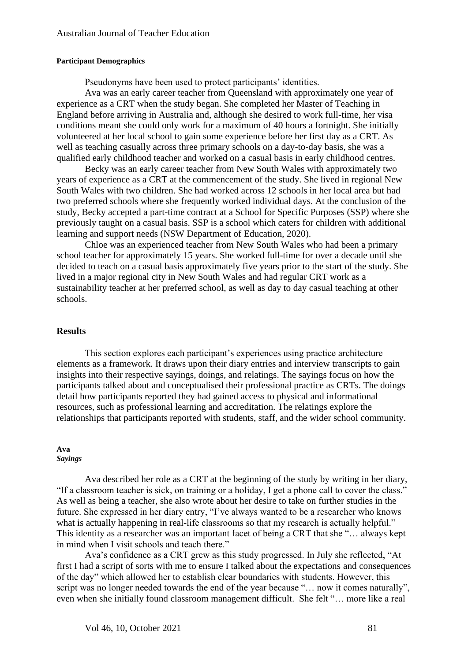#### **Participant Demographics**

Pseudonyms have been used to protect participants' identities.

Ava was an early career teacher from Queensland with approximately one year of experience as a CRT when the study began. She completed her Master of Teaching in England before arriving in Australia and, although she desired to work full-time, her visa conditions meant she could only work for a maximum of 40 hours a fortnight. She initially volunteered at her local school to gain some experience before her first day as a CRT. As well as teaching casually across three primary schools on a day-to-day basis, she was a qualified early childhood teacher and worked on a casual basis in early childhood centres.

Becky was an early career teacher from New South Wales with approximately two years of experience as a CRT at the commencement of the study. She lived in regional New South Wales with two children. She had worked across 12 schools in her local area but had two preferred schools where she frequently worked individual days. At the conclusion of the study, Becky accepted a part-time contract at a School for Specific Purposes (SSP) where she previously taught on a casual basis. SSP is a school which caters for children with additional learning and support needs (NSW Department of Education, 2020).

Chloe was an experienced teacher from New South Wales who had been a primary school teacher for approximately 15 years. She worked full-time for over a decade until she decided to teach on a casual basis approximately five years prior to the start of the study. She lived in a major regional city in New South Wales and had regular CRT work as a sustainability teacher at her preferred school, as well as day to day casual teaching at other schools.

## **Results**

This section explores each participant's experiences using practice architecture elements as a framework. It draws upon their diary entries and interview transcripts to gain insights into their respective sayings, doings, and relatings. The sayings focus on how the participants talked about and conceptualised their professional practice as CRTs. The doings detail how participants reported they had gained access to physical and informational resources, such as professional learning and accreditation. The relatings explore the relationships that participants reported with students, staff, and the wider school community.

#### **Ava** *Sayings*

Ava described her role as a CRT at the beginning of the study by writing in her diary, "If a classroom teacher is sick, on training or a holiday, I get a phone call to cover the class." As well as being a teacher, she also wrote about her desire to take on further studies in the future. She expressed in her diary entry, "I've always wanted to be a researcher who knows what is actually happening in real-life classrooms so that my research is actually helpful." This identity as a researcher was an important facet of being a CRT that she "… always kept in mind when I visit schools and teach there."

Ava's confidence as a CRT grew as this study progressed. In July she reflected, "At first I had a script of sorts with me to ensure I talked about the expectations and consequences of the day" which allowed her to establish clear boundaries with students. However, this script was no longer needed towards the end of the year because "… now it comes naturally", even when she initially found classroom management difficult. She felt "… more like a real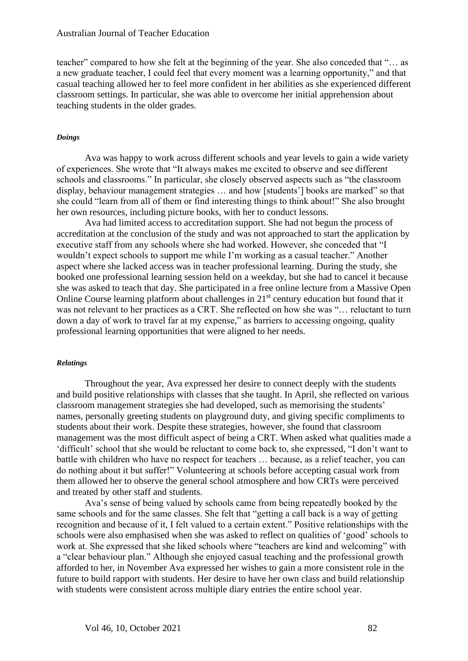teacher" compared to how she felt at the beginning of the year. She also conceded that "… as a new graduate teacher, I could feel that every moment was a learning opportunity," and that casual teaching allowed her to feel more confident in her abilities as she experienced different classroom settings. In particular, she was able to overcome her initial apprehension about teaching students in the older grades.

#### *Doings*

Ava was happy to work across different schools and year levels to gain a wide variety of experiences. She wrote that "It always makes me excited to observe and see different schools and classrooms." In particular, she closely observed aspects such as "the classroom display, behaviour management strategies … and how [students'] books are marked" so that she could "learn from all of them or find interesting things to think about!" She also brought her own resources, including picture books, with her to conduct lessons.

Ava had limited access to accreditation support. She had not begun the process of accreditation at the conclusion of the study and was not approached to start the application by executive staff from any schools where she had worked. However, she conceded that "I wouldn't expect schools to support me while I'm working as a casual teacher." Another aspect where she lacked access was in teacher professional learning. During the study, she booked one professional learning session held on a weekday, but she had to cancel it because she was asked to teach that day. She participated in a free online lecture from a Massive Open Online Course learning platform about challenges in 21<sup>st</sup> century education but found that it was not relevant to her practices as a CRT. She reflected on how she was "… reluctant to turn down a day of work to travel far at my expense," as barriers to accessing ongoing, quality professional learning opportunities that were aligned to her needs.

#### *Relatings*

Throughout the year, Ava expressed her desire to connect deeply with the students and build positive relationships with classes that she taught. In April, she reflected on various classroom management strategies she had developed, such as memorising the students' names, personally greeting students on playground duty, and giving specific compliments to students about their work. Despite these strategies, however, she found that classroom management was the most difficult aspect of being a CRT. When asked what qualities made a 'difficult' school that she would be reluctant to come back to, she expressed, "I don't want to battle with children who have no respect for teachers … because, as a relief teacher, you can do nothing about it but suffer!" Volunteering at schools before accepting casual work from them allowed her to observe the general school atmosphere and how CRTs were perceived and treated by other staff and students.

Ava's sense of being valued by schools came from being repeatedly booked by the same schools and for the same classes. She felt that "getting a call back is a way of getting recognition and because of it, I felt valued to a certain extent." Positive relationships with the schools were also emphasised when she was asked to reflect on qualities of 'good' schools to work at. She expressed that she liked schools where "teachers are kind and welcoming" with a "clear behaviour plan." Although she enjoyed casual teaching and the professional growth afforded to her, in November Ava expressed her wishes to gain a more consistent role in the future to build rapport with students. Her desire to have her own class and build relationship with students were consistent across multiple diary entries the entire school year.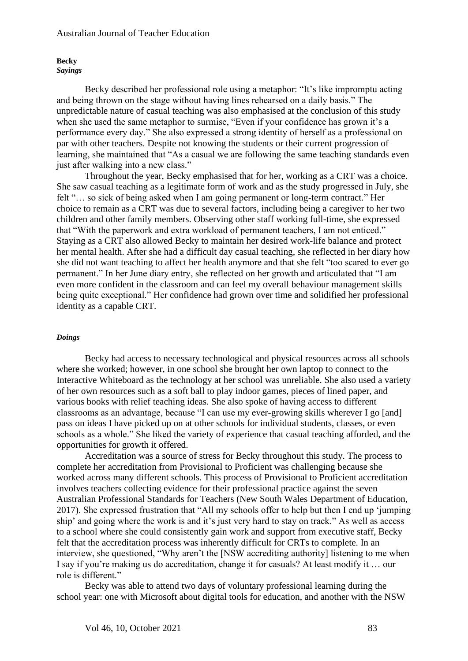#### **Becky** *Sayings*

Becky described her professional role using a metaphor: "It's like impromptu acting and being thrown on the stage without having lines rehearsed on a daily basis." The unpredictable nature of casual teaching was also emphasised at the conclusion of this study when she used the same metaphor to surmise, "Even if your confidence has grown it's a performance every day." She also expressed a strong identity of herself as a professional on par with other teachers. Despite not knowing the students or their current progression of learning, she maintained that "As a casual we are following the same teaching standards even just after walking into a new class."

Throughout the year, Becky emphasised that for her, working as a CRT was a choice. She saw casual teaching as a legitimate form of work and as the study progressed in July, she felt "… so sick of being asked when I am going permanent or long-term contract." Her choice to remain as a CRT was due to several factors, including being a caregiver to her two children and other family members. Observing other staff working full-time, she expressed that "With the paperwork and extra workload of permanent teachers, I am not enticed." Staying as a CRT also allowed Becky to maintain her desired work-life balance and protect her mental health. After she had a difficult day casual teaching, she reflected in her diary how she did not want teaching to affect her health anymore and that she felt "too scared to ever go permanent." In her June diary entry, she reflected on her growth and articulated that "I am even more confident in the classroom and can feel my overall behaviour management skills being quite exceptional." Her confidence had grown over time and solidified her professional identity as a capable CRT.

## *Doings*

Becky had access to necessary technological and physical resources across all schools where she worked; however, in one school she brought her own laptop to connect to the Interactive Whiteboard as the technology at her school was unreliable. She also used a variety of her own resources such as a soft ball to play indoor games, pieces of lined paper, and various books with relief teaching ideas. She also spoke of having access to different classrooms as an advantage, because "I can use my ever-growing skills wherever I go [and] pass on ideas I have picked up on at other schools for individual students, classes, or even schools as a whole." She liked the variety of experience that casual teaching afforded, and the opportunities for growth it offered.

Accreditation was a source of stress for Becky throughout this study. The process to complete her accreditation from Provisional to Proficient was challenging because she worked across many different schools. This process of Provisional to Proficient accreditation involves teachers collecting evidence for their professional practice against the seven Australian Professional Standards for Teachers (New South Wales Department of Education, 2017). She expressed frustration that "All my schools offer to help but then I end up 'jumping ship' and going where the work is and it's just very hard to stay on track." As well as access to a school where she could consistently gain work and support from executive staff, Becky felt that the accreditation process was inherently difficult for CRTs to complete. In an interview, she questioned, "Why aren't the [NSW accrediting authority] listening to me when I say if you're making us do accreditation, change it for casuals? At least modify it … our role is different."

Becky was able to attend two days of voluntary professional learning during the school year: one with Microsoft about digital tools for education, and another with the NSW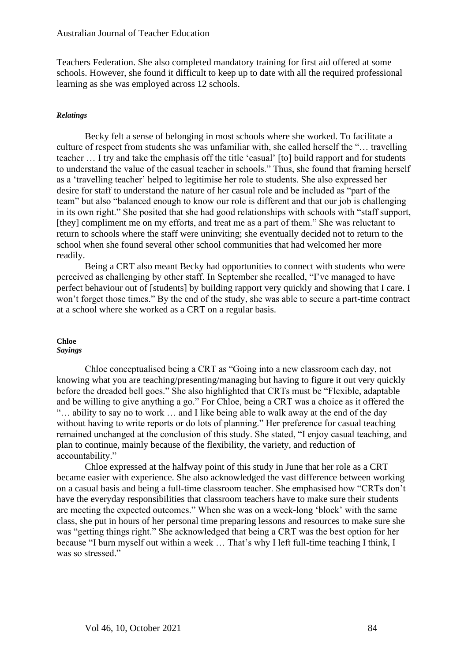Teachers Federation. She also completed mandatory training for first aid offered at some schools. However, she found it difficult to keep up to date with all the required professional learning as she was employed across 12 schools.

#### *Relatings*

Becky felt a sense of belonging in most schools where she worked. To facilitate a culture of respect from students she was unfamiliar with, she called herself the "… travelling teacher … I try and take the emphasis off the title 'casual' [to] build rapport and for students to understand the value of the casual teacher in schools." Thus, she found that framing herself as a 'travelling teacher' helped to legitimise her role to students. She also expressed her desire for staff to understand the nature of her casual role and be included as "part of the team" but also "balanced enough to know our role is different and that our job is challenging in its own right." She posited that she had good relationships with schools with "staff support, [they] compliment me on my efforts, and treat me as a part of them." She was reluctant to return to schools where the staff were uninviting; she eventually decided not to return to the school when she found several other school communities that had welcomed her more readily.

Being a CRT also meant Becky had opportunities to connect with students who were perceived as challenging by other staff. In September she recalled, "I've managed to have perfect behaviour out of [students] by building rapport very quickly and showing that I care. I won't forget those times." By the end of the study, she was able to secure a part-time contract at a school where she worked as a CRT on a regular basis.

## **Chloe**

## *Sayings*

Chloe conceptualised being a CRT as "Going into a new classroom each day, not knowing what you are teaching/presenting/managing but having to figure it out very quickly before the dreaded bell goes." She also highlighted that CRTs must be "Flexible, adaptable and be willing to give anything a go." For Chloe, being a CRT was a choice as it offered the "… ability to say no to work … and I like being able to walk away at the end of the day without having to write reports or do lots of planning." Her preference for casual teaching remained unchanged at the conclusion of this study. She stated, "I enjoy casual teaching, and plan to continue, mainly because of the flexibility, the variety, and reduction of accountability."

Chloe expressed at the halfway point of this study in June that her role as a CRT became easier with experience. She also acknowledged the vast difference between working on a casual basis and being a full-time classroom teacher. She emphasised how "CRTs don't have the everyday responsibilities that classroom teachers have to make sure their students are meeting the expected outcomes." When she was on a week-long 'block' with the same class, she put in hours of her personal time preparing lessons and resources to make sure she was "getting things right." She acknowledged that being a CRT was the best option for her because "I burn myself out within a week … That's why I left full-time teaching I think, I was so stressed."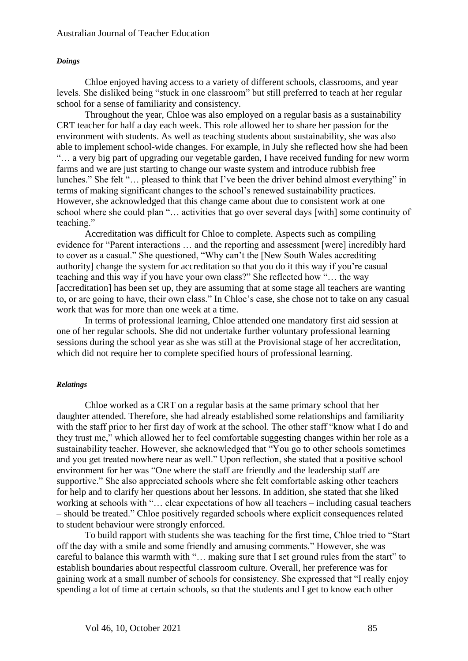## *Doings*

Chloe enjoyed having access to a variety of different schools, classrooms, and year levels. She disliked being "stuck in one classroom" but still preferred to teach at her regular school for a sense of familiarity and consistency.

Throughout the year, Chloe was also employed on a regular basis as a sustainability CRT teacher for half a day each week. This role allowed her to share her passion for the environment with students. As well as teaching students about sustainability, she was also able to implement school-wide changes. For example, in July she reflected how she had been "… a very big part of upgrading our vegetable garden, I have received funding for new worm farms and we are just starting to change our waste system and introduce rubbish free lunches." She felt "… pleased to think that I've been the driver behind almost everything" in terms of making significant changes to the school's renewed sustainability practices. However, she acknowledged that this change came about due to consistent work at one school where she could plan "… activities that go over several days [with] some continuity of teaching."

Accreditation was difficult for Chloe to complete. Aspects such as compiling evidence for "Parent interactions … and the reporting and assessment [were] incredibly hard to cover as a casual." She questioned, "Why can't the [New South Wales accrediting authority] change the system for accreditation so that you do it this way if you're casual teaching and this way if you have your own class?" She reflected how "… the way [accreditation] has been set up, they are assuming that at some stage all teachers are wanting to, or are going to have, their own class." In Chloe's case, she chose not to take on any casual work that was for more than one week at a time.

In terms of professional learning, Chloe attended one mandatory first aid session at one of her regular schools. She did not undertake further voluntary professional learning sessions during the school year as she was still at the Provisional stage of her accreditation, which did not require her to complete specified hours of professional learning.

## *Relatings*

Chloe worked as a CRT on a regular basis at the same primary school that her daughter attended. Therefore, she had already established some relationships and familiarity with the staff prior to her first day of work at the school. The other staff "know what I do and they trust me," which allowed her to feel comfortable suggesting changes within her role as a sustainability teacher. However, she acknowledged that "You go to other schools sometimes and you get treated nowhere near as well." Upon reflection, she stated that a positive school environment for her was "One where the staff are friendly and the leadership staff are supportive." She also appreciated schools where she felt comfortable asking other teachers for help and to clarify her questions about her lessons. In addition, she stated that she liked working at schools with "… clear expectations of how all teachers – including casual teachers – should be treated." Chloe positively regarded schools where explicit consequences related to student behaviour were strongly enforced.

To build rapport with students she was teaching for the first time, Chloe tried to "Start off the day with a smile and some friendly and amusing comments." However, she was careful to balance this warmth with "… making sure that I set ground rules from the start" to establish boundaries about respectful classroom culture. Overall, her preference was for gaining work at a small number of schools for consistency. She expressed that "I really enjoy spending a lot of time at certain schools, so that the students and I get to know each other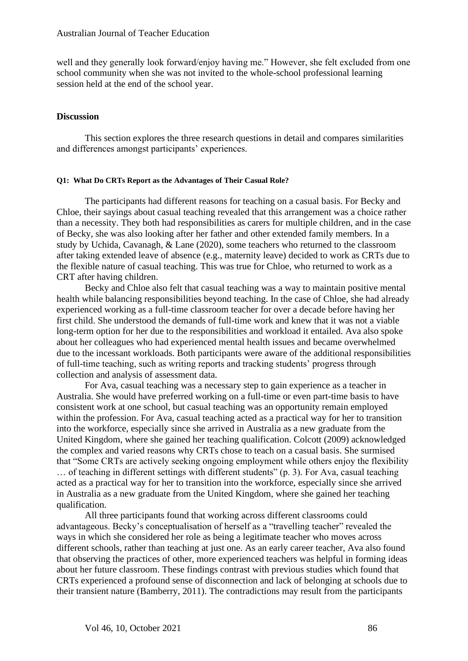well and they generally look forward/enjoy having me." However, she felt excluded from one school community when she was not invited to the whole-school professional learning session held at the end of the school year.

## **Discussion**

This section explores the three research questions in detail and compares similarities and differences amongst participants' experiences.

## **Q1: What Do CRTs Report as the Advantages of Their Casual Role?**

The participants had different reasons for teaching on a casual basis. For Becky and Chloe, their sayings about casual teaching revealed that this arrangement was a choice rather than a necessity. They both had responsibilities as carers for multiple children, and in the case of Becky, she was also looking after her father and other extended family members. In a study by Uchida, Cavanagh, & Lane (2020), some teachers who returned to the classroom after taking extended leave of absence (e.g., maternity leave) decided to work as CRTs due to the flexible nature of casual teaching. This was true for Chloe, who returned to work as a CRT after having children.

Becky and Chloe also felt that casual teaching was a way to maintain positive mental health while balancing responsibilities beyond teaching. In the case of Chloe, she had already experienced working as a full-time classroom teacher for over a decade before having her first child. She understood the demands of full-time work and knew that it was not a viable long-term option for her due to the responsibilities and workload it entailed. Ava also spoke about her colleagues who had experienced mental health issues and became overwhelmed due to the incessant workloads. Both participants were aware of the additional responsibilities of full-time teaching, such as writing reports and tracking students' progress through collection and analysis of assessment data.

For Ava, casual teaching was a necessary step to gain experience as a teacher in Australia. She would have preferred working on a full-time or even part-time basis to have consistent work at one school, but casual teaching was an opportunity remain employed within the profession. For Ava, casual teaching acted as a practical way for her to transition into the workforce, especially since she arrived in Australia as a new graduate from the United Kingdom, where she gained her teaching qualification. Colcott (2009) acknowledged the complex and varied reasons why CRTs chose to teach on a casual basis. She surmised that "Some CRTs are actively seeking ongoing employment while others enjoy the flexibility … of teaching in different settings with different students" (p. 3). For Ava, casual teaching acted as a practical way for her to transition into the workforce, especially since she arrived in Australia as a new graduate from the United Kingdom, where she gained her teaching qualification.

All three participants found that working across different classrooms could advantageous. Becky's conceptualisation of herself as a "travelling teacher" revealed the ways in which she considered her role as being a legitimate teacher who moves across different schools, rather than teaching at just one. As an early career teacher, Ava also found that observing the practices of other, more experienced teachers was helpful in forming ideas about her future classroom. These findings contrast with previous studies which found that CRTs experienced a profound sense of disconnection and lack of belonging at schools due to their transient nature (Bamberry, 2011). The contradictions may result from the participants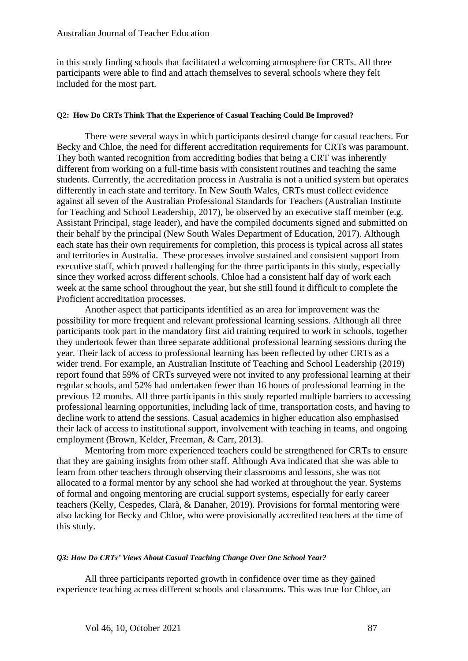in this study finding schools that facilitated a welcoming atmosphere for CRTs. All three participants were able to find and attach themselves to several schools where they felt included for the most part.

## **Q2: How Do CRTs Think That the Experience of Casual Teaching Could Be Improved?**

There were several ways in which participants desired change for casual teachers. For Becky and Chloe, the need for different accreditation requirements for CRTs was paramount. They both wanted recognition from accrediting bodies that being a CRT was inherently different from working on a full-time basis with consistent routines and teaching the same students. Currently, the accreditation process in Australia is not a unified system but operates differently in each state and territory. In New South Wales, CRTs must collect evidence against all seven of the Australian Professional Standards for Teachers (Australian Institute for Teaching and School Leadership, 2017), be observed by an executive staff member (e.g. Assistant Principal, stage leader), and have the compiled documents signed and submitted on their behalf by the principal (New South Wales Department of Education, 2017). Although each state has their own requirements for completion, this process is typical across all states and territories in Australia. These processes involve sustained and consistent support from executive staff, which proved challenging for the three participants in this study, especially since they worked across different schools. Chloe had a consistent half day of work each week at the same school throughout the year, but she still found it difficult to complete the Proficient accreditation processes.

Another aspect that participants identified as an area for improvement was the possibility for more frequent and relevant professional learning sessions. Although all three participants took part in the mandatory first aid training required to work in schools, together they undertook fewer than three separate additional professional learning sessions during the year. Their lack of access to professional learning has been reflected by other CRTs as a wider trend. For example, an Australian Institute of Teaching and School Leadership (2019) report found that 59% of CRTs surveyed were not invited to any professional learning at their regular schools, and 52% had undertaken fewer than 16 hours of professional learning in the previous 12 months. All three participants in this study reported multiple barriers to accessing professional learning opportunities, including lack of time, transportation costs, and having to decline work to attend the sessions. Casual academics in higher education also emphasised their lack of access to institutional support, involvement with teaching in teams, and ongoing employment (Brown, Kelder, Freeman, & Carr, 2013).

Mentoring from more experienced teachers could be strengthened for CRTs to ensure that they are gaining insights from other staff. Although Ava indicated that she was able to learn from other teachers through observing their classrooms and lessons, she was not allocated to a formal mentor by any school she had worked at throughout the year. Systems of formal and ongoing mentoring are crucial support systems, especially for early career teachers (Kelly, Cespedes, Clarà, & Danaher, 2019). Provisions for formal mentoring were also lacking for Becky and Chloe, who were provisionally accredited teachers at the time of this study.

#### *Q3: How Do CRTs' Views About Casual Teaching Change Over One School Year?*

All three participants reported growth in confidence over time as they gained experience teaching across different schools and classrooms. This was true for Chloe, an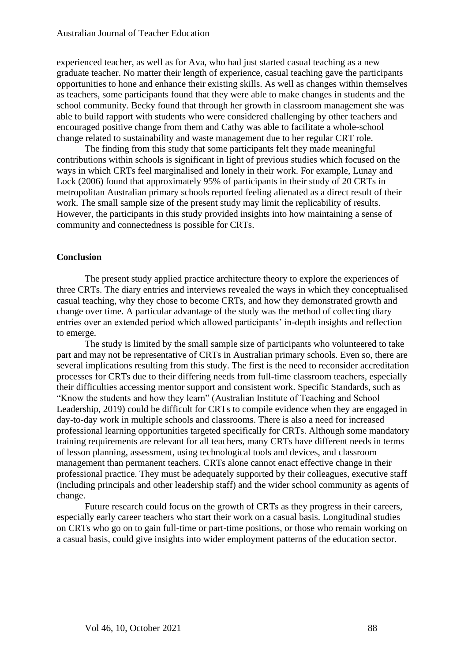experienced teacher, as well as for Ava, who had just started casual teaching as a new graduate teacher. No matter their length of experience, casual teaching gave the participants opportunities to hone and enhance their existing skills. As well as changes within themselves as teachers, some participants found that they were able to make changes in students and the school community. Becky found that through her growth in classroom management she was able to build rapport with students who were considered challenging by other teachers and encouraged positive change from them and Cathy was able to facilitate a whole-school change related to sustainability and waste management due to her regular CRT role.

The finding from this study that some participants felt they made meaningful contributions within schools is significant in light of previous studies which focused on the ways in which CRTs feel marginalised and lonely in their work. For example, Lunay and Lock (2006) found that approximately 95% of participants in their study of 20 CRTs in metropolitan Australian primary schools reported feeling alienated as a direct result of their work. The small sample size of the present study may limit the replicability of results. However, the participants in this study provided insights into how maintaining a sense of community and connectedness is possible for CRTs.

## **Conclusion**

The present study applied practice architecture theory to explore the experiences of three CRTs. The diary entries and interviews revealed the ways in which they conceptualised casual teaching, why they chose to become CRTs, and how they demonstrated growth and change over time. A particular advantage of the study was the method of collecting diary entries over an extended period which allowed participants' in-depth insights and reflection to emerge.

The study is limited by the small sample size of participants who volunteered to take part and may not be representative of CRTs in Australian primary schools. Even so, there are several implications resulting from this study. The first is the need to reconsider accreditation processes for CRTs due to their differing needs from full-time classroom teachers, especially their difficulties accessing mentor support and consistent work. Specific Standards, such as "Know the students and how they learn" (Australian Institute of Teaching and School Leadership, 2019) could be difficult for CRTs to compile evidence when they are engaged in day-to-day work in multiple schools and classrooms. There is also a need for increased professional learning opportunities targeted specifically for CRTs. Although some mandatory training requirements are relevant for all teachers, many CRTs have different needs in terms of lesson planning, assessment, using technological tools and devices, and classroom management than permanent teachers. CRTs alone cannot enact effective change in their professional practice. They must be adequately supported by their colleagues, executive staff (including principals and other leadership staff) and the wider school community as agents of change.

Future research could focus on the growth of CRTs as they progress in their careers, especially early career teachers who start their work on a casual basis. Longitudinal studies on CRTs who go on to gain full-time or part-time positions, or those who remain working on a casual basis, could give insights into wider employment patterns of the education sector.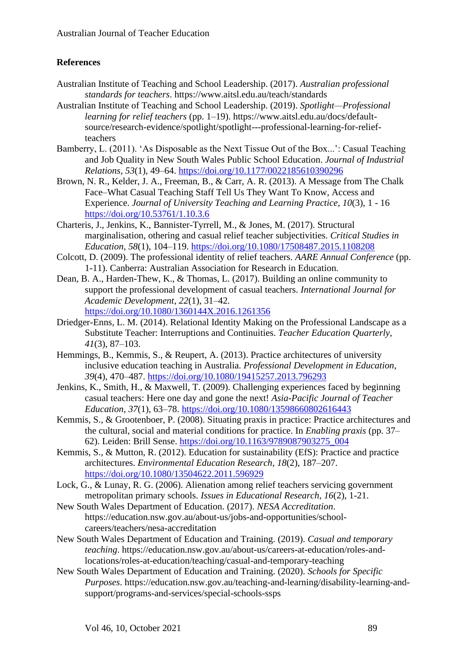## **References**

- Australian Institute of Teaching and School Leadership. (2017). *Australian professional standards for teachers*. https://www.aitsl.edu.au/teach/standards
- Australian Institute of Teaching and School Leadership. (2019). *Spotlight—Professional learning for relief teachers* (pp. 1–19). https://www.aitsl.edu.au/docs/defaultsource/research-evidence/spotlight/spotlight---professional-learning-for-reliefteachers
- Bamberry, L. (2011). 'As Disposable as the Next Tissue Out of the Box...': Casual Teaching and Job Quality in New South Wales Public School Education. *Journal of Industrial Relations*, *53*(1), 49–64. <https://doi.org/10.1177/0022185610390296>
- Brown, N. R., Kelder, J. A., Freeman, B., & Carr, A. R. (2013). A Message from The Chalk Face–What Casual Teaching Staff Tell Us They Want To Know, Access and Experience. *Journal of University Teaching and Learning Practice*, *10*(3), 1 - 16 <https://doi.org/10.53761/1.10.3.6>
- Charteris, J., Jenkins, K., Bannister-Tyrrell, M., & Jones, M. (2017). Structural marginalisation, othering and casual relief teacher subjectivities. *Critical Studies in Education*, *58*(1), 104–119. <https://doi.org/10.1080/17508487.2015.1108208>
- Colcott, D. (2009). The professional identity of relief teachers. *AARE Annual Conference* (pp. 1-11). Canberra: Australian Association for Research in Education.
- Dean, B. A., Harden-Thew, K., & Thomas, L. (2017). Building an online community to support the professional development of casual teachers. *International Journal for Academic Development*, *22*(1), 31–42. <https://doi.org/10.1080/1360144X.2016.1261356>
- Driedger-Enns, L. M. (2014). Relational Identity Making on the Professional Landscape as a Substitute Teacher: Interruptions and Continuities. *Teacher Education Quarterly*, *41*(3), 87–103.
- Hemmings, B., Kemmis, S., & Reupert, A. (2013). Practice architectures of university inclusive education teaching in Australia. *Professional Development in Education*, *39*(4), 470–487. <https://doi.org/10.1080/19415257.2013.796293>
- Jenkins, K., Smith, H., & Maxwell, T. (2009). Challenging experiences faced by beginning casual teachers: Here one day and gone the next! *Asia-Pacific Journal of Teacher Education*, *37*(1), 63–78. <https://doi.org/10.1080/13598660802616443>
- Kemmis, S., & Grootenboer, P. (2008). Situating praxis in practice: Practice architectures and the cultural, social and material conditions for practice. In *Enabling praxis* (pp. 37– 62). Leiden: Brill Sense. [https://doi.org/10.1163/9789087903275\\_004](https://doi.org/10.1163/9789087903275_004)
- Kemmis, S., & Mutton, R. (2012). Education for sustainability (EfS): Practice and practice architectures. *Environmental Education Research*, *18*(2), 187–207. <https://doi.org/10.1080/13504622.2011.596929>
- Lock, G., & Lunay, R. G. (2006). Alienation among relief teachers servicing government metropolitan primary schools. *Issues in Educational Research*, *16*(2), 1-21.
- New South Wales Department of Education. (2017). *NESA Accreditation*. https://education.nsw.gov.au/about-us/jobs-and-opportunities/schoolcareers/teachers/nesa-accreditation
- New South Wales Department of Education and Training. (2019). *Casual and temporary teaching*. https://education.nsw.gov.au/about-us/careers-at-education/roles-andlocations/roles-at-education/teaching/casual-and-temporary-teaching
- New South Wales Department of Education and Training. (2020). *Schools for Specific Purposes*. https://education.nsw.gov.au/teaching-and-learning/disability-learning-andsupport/programs-and-services/special-schools-ssps